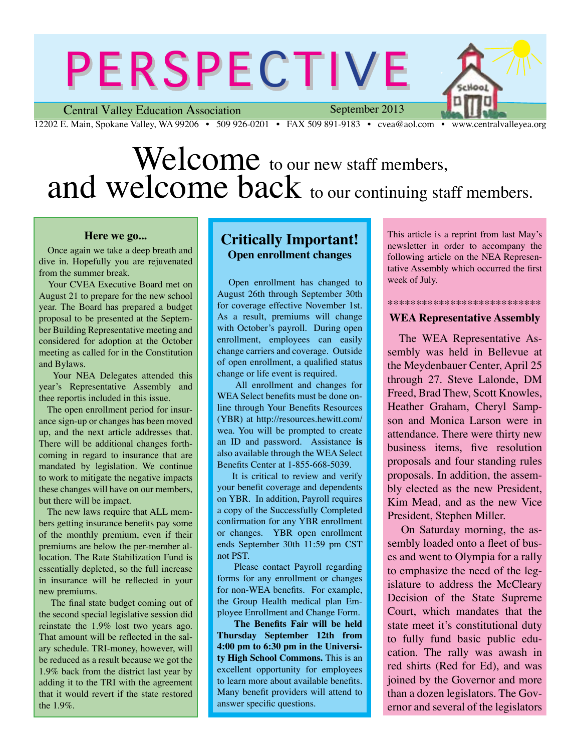# PERSPECTIVE

Central Valley Education Association 12202 E. Main, Spokane Valley, WA 99206 • 509 926-0201 • FAX 509 891-9183 • cvea@aol.com • www.centralvalleyea.org

September 2013

Look

# Welcome to our new staff members, and welcome back to our continuing staff members.

#### **Here we go...**

Once again we take a deep breath and dive in. Hopefully you are rejuvenated from the summer break.

 Your CVEA Executive Board met on August 21 to prepare for the new school year. The Board has prepared a budget proposal to be presented at the September Building Representative meeting and considered for adoption at the October meeting as called for in the Constitution and Bylaws.

Your NEA Delegates attended this year's Representative Assembly and thee reportis included in this issue.

 The open enrollment period for insurance sign-up or changes has been moved up, and the next article addresses that. There will be additional changes forthcoming in regard to insurance that are mandated by legislation. We continue to work to mitigate the negative impacts these changes will have on our members, but there will be impact.

 The new laws require that ALL members getting insurance benefits pay some of the monthly premium, even if their premiums are below the per-member allocation. The Rate Stabilization Fund is essentially depleted, so the full increase in insurance will be reflected in your new premiums.

 The final state budget coming out of the second special legislative session did reinstate the 1.9% lost two years ago. That amount will be reflected in the salary schedule. TRI-money, however, will be reduced as a result because we got the 1.9% back from the district last year by adding it to the TRI with the agreement that it would revert if the state restored the 1.9%.

### **Critically Important! Open enrollment changes**

Open enrollment has changed to August 26th through September 30th for coverage effective November 1st. As a result, premiums will change with October's payroll. During open enrollment, employees can easily change carriers and coverage. Outside of open enrollment, a qualified status change or life event is required.

 All enrollment and changes for WEA Select benefits must be done online through Your Benefits Resources (YBR) at http://resources.hewitt.com/ wea. You will be prompted to create an ID and password. Assistance **is**  also available through the WEA Select Benefits Center at 1-855-668-5039.

 It is critical to review and verify your benefit coverage and dependents on YBR. In addition, Payroll requires a copy of the Successfully Completed confirmation for any YBR enrollment or changes. YBR open enrollment ends September 30th 11:59 pm CST not PST.

 Please contact Payroll regarding forms for any enrollment or changes for non-WEA benefits. For example, the Group Health medical plan Employee Enrollment and Change Form.

 **The Benefits Fair will be held Thursday September 12th from 4:00 pm to 6:30 pm in the University High School Commons.** This is an excellent opportunity for employees to learn more about available benefits. Many benefit providers will attend to answer specific questions.

This article is a reprint from last May's newsletter in order to accompany the following article on the NEA Representative Assembly which occurred the first week of July.

#### \*\*\*\*\*\*\*\*\*\*\*\*\*\*\*\*\*\*\*\*\*\*\*\*\*\*\* **WEA Representative Assembly**

The WEA Representative Assembly was held in Bellevue at the Meydenbauer Center, April 25 through 27. Steve Lalonde, DM Freed, Brad Thew, Scott Knowles, Heather Graham, Cheryl Sampson and Monica Larson were in attendance. There were thirty new business items, five resolution proposals and four standing rules proposals. In addition, the assembly elected as the new President, Kim Mead, and as the new Vice President, Stephen Miller.

 On Saturday morning, the assembly loaded onto a fleet of buses and went to Olympia for a rally to emphasize the need of the legislature to address the McCleary Decision of the State Supreme Court, which mandates that the state meet it's constitutional duty to fully fund basic public education. The rally was awash in red shirts (Red for Ed), and was joined by the Governor and more than a dozen legislators. The Governor and several of the legislators